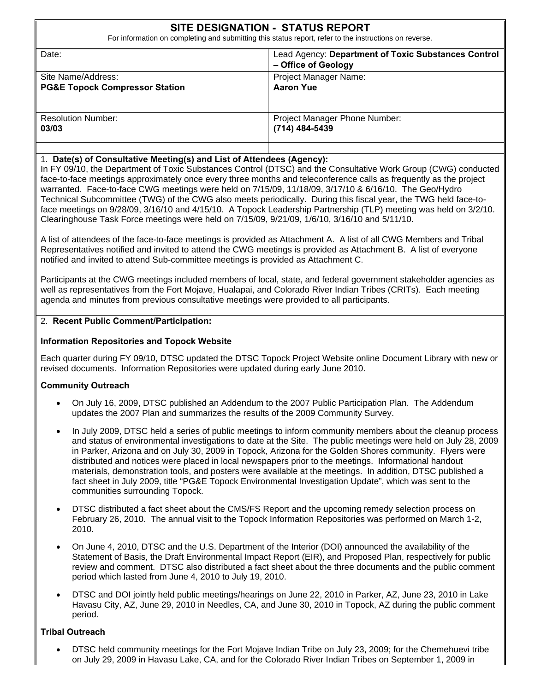# **SITE DESIGNATION - STATUS REPORT**

For information on completing and submitting this status report, refer to the instructions on reverse.

| Date:                                     | Lead Agency: Department of Toxic Substances Control<br>- Office of Geology |
|-------------------------------------------|----------------------------------------------------------------------------|
| Site Name/Address:                        | Project Manager Name:                                                      |
| <b>PG&amp;E Topock Compressor Station</b> | <b>Aaron Yue</b>                                                           |
| <b>Resolution Number:</b><br>03/03        | Project Manager Phone Number:<br>(714) 484-5439                            |
|                                           |                                                                            |

#### 1. **Date(s) of Consultative Meeting(s) and List of Attendees (Agency):**

In FY 09/10, the Department of Toxic Substances Control (DTSC) and the Consultative Work Group (CWG) conducted face-to-face meetings approximately once every three months and teleconference calls as frequently as the project warranted. Face-to-face CWG meetings were held on 7/15/09, 11/18/09, 3/17/10 & 6/16/10. The Geo/Hydro Technical Subcommittee (TWG) of the CWG also meets periodically. During this fiscal year, the TWG held face-toface meetings on 9/28/09, 3/16/10 and 4/15/10. A Topock Leadership Partnership (TLP) meeting was held on 3/2/10. Clearinghouse Task Force meetings were held on 7/15/09, 9/21/09, 1/6/10, 3/16/10 and 5/11/10.

A list of attendees of the face-to-face meetings is provided as Attachment A. A list of all CWG Members and Tribal Representatives notified and invited to attend the CWG meetings is provided as Attachment B. A list of everyone notified and invited to attend Sub-committee meetings is provided as Attachment C.

Participants at the CWG meetings included members of local, state, and federal government stakeholder agencies as well as representatives from the Fort Mojave, Hualapai, and Colorado River Indian Tribes (CRITs). Each meeting agenda and minutes from previous consultative meetings were provided to all participants.

#### 2. **Recent Public Comment/Participation:**

#### **Information Repositories and Topock Website**

Each quarter during FY 09/10, DTSC updated the DTSC Topock Project Website online Document Library with new or revised documents. Information Repositories were updated during early June 2010.

#### **Community Outreach**

- On July 16, 2009, DTSC published an Addendum to the 2007 Public Participation Plan. The Addendum updates the 2007 Plan and summarizes the results of the 2009 Community Survey.
- In July 2009, DTSC held a series of public meetings to inform community members about the cleanup process and status of environmental investigations to date at the Site. The public meetings were held on July 28, 2009 in Parker, Arizona and on July 30, 2009 in Topock, Arizona for the Golden Shores community. Flyers were distributed and notices were placed in local newspapers prior to the meetings. Informational handout materials, demonstration tools, and posters were available at the meetings. In addition, DTSC published a fact sheet in July 2009, title "PG&E Topock Environmental Investigation Update", which was sent to the communities surrounding Topock.
- DTSC distributed a fact sheet about the CMS/FS Report and the upcoming remedy selection process on February 26, 2010. The annual visit to the Topock Information Repositories was performed on March 1-2, 2010.
- On June 4, 2010, DTSC and the U.S. Department of the Interior (DOI) announced the availability of the Statement of Basis, the Draft Environmental Impact Report (EIR), and Proposed Plan, respectively for public review and comment. DTSC also distributed a fact sheet about the three documents and the public comment period which lasted from June 4, 2010 to July 19, 2010.
- DTSC and DOI jointly held public meetings/hearings on June 22, 2010 in Parker, AZ, June 23, 2010 in Lake Havasu City, AZ, June 29, 2010 in Needles, CA, and June 30, 2010 in Topock, AZ during the public comment period.

#### **Tribal Outreach**

• DTSC held community meetings for the Fort Mojave Indian Tribe on July 23, 2009; for the Chemehuevi tribe on July 29, 2009 in Havasu Lake, CA, and for the Colorado River Indian Tribes on September 1, 2009 in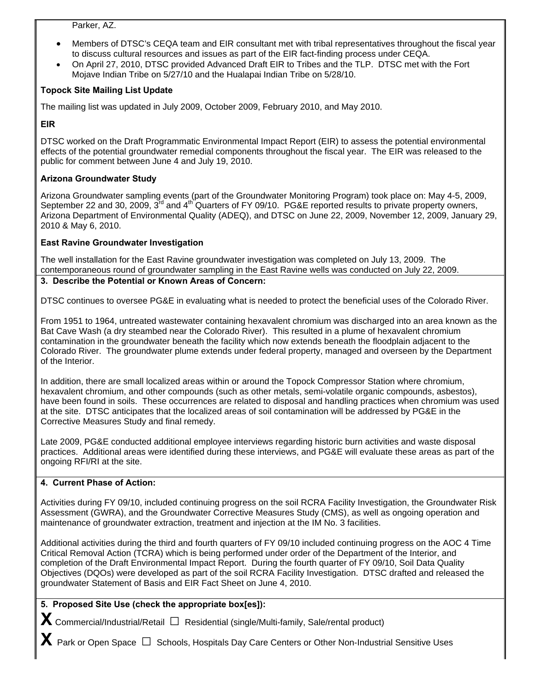#### Parker, AZ.

- Members of DTSC's CEQA team and EIR consultant met with tribal representatives throughout the fiscal year to discuss cultural resources and issues as part of the EIR fact-finding process under CEQA.
- On April 27, 2010, DTSC provided Advanced Draft EIR to Tribes and the TLP. DTSC met with the Fort Mojave Indian Tribe on 5/27/10 and the Hualapai Indian Tribe on 5/28/10.

### **Topock Site Mailing List Update**

The mailing list was updated in July 2009, October 2009, February 2010, and May 2010.

### **EIR**

DTSC worked on the Draft Programmatic Environmental Impact Report (EIR) to assess the potential environmental effects of the potential groundwater remedial components throughout the fiscal year. The EIR was released to the public for comment between June 4 and July 19, 2010.

### **Arizona Groundwater Study**

Arizona Groundwater sampling events (part of the Groundwater Monitoring Program) took place on: May 4-5, 2009, September 22 and 30, 2009, 3<sup>rd</sup> and 4<sup>th</sup> Quarters of FY 09/10. PG&E reported results to private property owners, Arizona Department of Environmental Quality (ADEQ), and DTSC on June 22, 2009, November 12, 2009, January 29, 2010 & May 6, 2010.

#### **East Ravine Groundwater Investigation**

The well installation for the East Ravine groundwater investigation was completed on July 13, 2009. The contemporaneous round of groundwater sampling in the East Ravine wells was conducted on July 22, 2009.

#### **3. Describe the Potential or Known Areas of Concern:**

DTSC continues to oversee PG&E in evaluating what is needed to protect the beneficial uses of the Colorado River.

From 1951 to 1964, untreated wastewater containing hexavalent chromium was discharged into an area known as the Bat Cave Wash (a dry steambed near the Colorado River). This resulted in a plume of hexavalent chromium contamination in the groundwater beneath the facility which now extends beneath the floodplain adjacent to the Colorado River. The groundwater plume extends under federal property, managed and overseen by the Department of the Interior.

In addition, there are small localized areas within or around the Topock Compressor Station where chromium, hexavalent chromium, and other compounds (such as other metals, semi-volatile organic compounds, asbestos), have been found in soils. These occurrences are related to disposal and handling practices when chromium was used at the site. DTSC anticipates that the localized areas of soil contamination will be addressed by PG&E in the Corrective Measures Study and final remedy.

Late 2009, PG&E conducted additional employee interviews regarding historic burn activities and waste disposal practices. Additional areas were identified during these interviews, and PG&E will evaluate these areas as part of the ongoing RFI/RI at the site.

#### **4. Current Phase of Action:**

Activities during FY 09/10, included continuing progress on the soil RCRA Facility Investigation, the Groundwater Risk Assessment (GWRA), and the Groundwater Corrective Measures Study (CMS), as well as ongoing operation and maintenance of groundwater extraction, treatment and injection at the IM No. 3 facilities.

Additional activities during the third and fourth quarters of FY 09/10 included continuing progress on the AOC 4 Time Critical Removal Action (TCRA) which is being performed under order of the Department of the Interior, and completion of the Draft Environmental Impact Report. During the fourth quarter of FY 09/10, Soil Data Quality Objectives (DQOs) were developed as part of the soil RCRA Facility Investigation. DTSC drafted and released the groundwater Statement of Basis and EIR Fact Sheet on June 4, 2010.

### **5. Proposed Site Use (check the appropriate box[es]):**

**X** Commercial/Industrial/Retail **□** Residential (single/Multi-family, Sale/rental product)

**X** Park or Open Space **□** Schools, Hospitals Day Care Centers or Other Non-Industrial Sensitive Uses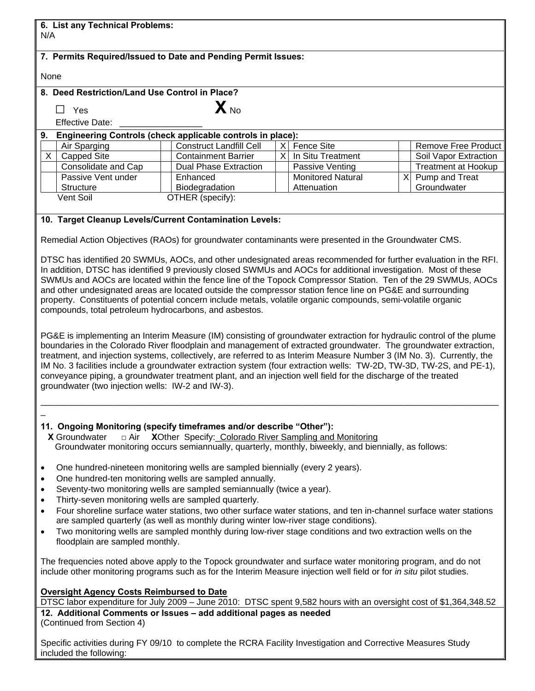| 6. List any Technical Problems:<br>N/A                                                                                                                                                                                                                                                                                                                                                                                                                                                                                                                                                                                                                                                                                                                                                                                                                                                                                                                                                                                                                                                                                                                                                                                                                                                                          |                                                              |                      |                                      |  |                                                     |
|-----------------------------------------------------------------------------------------------------------------------------------------------------------------------------------------------------------------------------------------------------------------------------------------------------------------------------------------------------------------------------------------------------------------------------------------------------------------------------------------------------------------------------------------------------------------------------------------------------------------------------------------------------------------------------------------------------------------------------------------------------------------------------------------------------------------------------------------------------------------------------------------------------------------------------------------------------------------------------------------------------------------------------------------------------------------------------------------------------------------------------------------------------------------------------------------------------------------------------------------------------------------------------------------------------------------|--------------------------------------------------------------|----------------------|--------------------------------------|--|-----------------------------------------------------|
| 7. Permits Required/Issued to Date and Pending Permit Issues:                                                                                                                                                                                                                                                                                                                                                                                                                                                                                                                                                                                                                                                                                                                                                                                                                                                                                                                                                                                                                                                                                                                                                                                                                                                   |                                                              |                      |                                      |  |                                                     |
| None                                                                                                                                                                                                                                                                                                                                                                                                                                                                                                                                                                                                                                                                                                                                                                                                                                                                                                                                                                                                                                                                                                                                                                                                                                                                                                            |                                                              |                      |                                      |  |                                                     |
| 8. Deed Restriction/Land Use Control in Place?                                                                                                                                                                                                                                                                                                                                                                                                                                                                                                                                                                                                                                                                                                                                                                                                                                                                                                                                                                                                                                                                                                                                                                                                                                                                  |                                                              |                      |                                      |  |                                                     |
| $\Box$ Yes                                                                                                                                                                                                                                                                                                                                                                                                                                                                                                                                                                                                                                                                                                                                                                                                                                                                                                                                                                                                                                                                                                                                                                                                                                                                                                      | $\mathbf{X}_{\text{No}}$                                     |                      |                                      |  |                                                     |
| <b>Effective Date:</b>                                                                                                                                                                                                                                                                                                                                                                                                                                                                                                                                                                                                                                                                                                                                                                                                                                                                                                                                                                                                                                                                                                                                                                                                                                                                                          |                                                              |                      |                                      |  |                                                     |
| 9. Engineering Controls (check applicable controls in place):                                                                                                                                                                                                                                                                                                                                                                                                                                                                                                                                                                                                                                                                                                                                                                                                                                                                                                                                                                                                                                                                                                                                                                                                                                                   |                                                              |                      |                                      |  |                                                     |
| Air Sparging                                                                                                                                                                                                                                                                                                                                                                                                                                                                                                                                                                                                                                                                                                                                                                                                                                                                                                                                                                                                                                                                                                                                                                                                                                                                                                    | <b>Construct Landfill Cell</b><br><b>Containment Barrier</b> | $\times$<br>$\times$ | <b>Fence Site</b>                    |  | <b>Remove Free Product</b>                          |
| $\mathsf{X}$<br><b>Capped Site</b><br>Consolidate and Cap                                                                                                                                                                                                                                                                                                                                                                                                                                                                                                                                                                                                                                                                                                                                                                                                                                                                                                                                                                                                                                                                                                                                                                                                                                                       | <b>Dual Phase Extraction</b>                                 |                      | In Situ Treatment<br>Passive Venting |  | Soil Vapor Extraction<br><b>Treatment at Hookup</b> |
| Passive Vent under                                                                                                                                                                                                                                                                                                                                                                                                                                                                                                                                                                                                                                                                                                                                                                                                                                                                                                                                                                                                                                                                                                                                                                                                                                                                                              | Enhanced                                                     |                      | <b>Monitored Natural</b>             |  | X Pump and Treat                                    |
| Structure                                                                                                                                                                                                                                                                                                                                                                                                                                                                                                                                                                                                                                                                                                                                                                                                                                                                                                                                                                                                                                                                                                                                                                                                                                                                                                       | Biodegradation                                               |                      | Attenuation                          |  | Groundwater                                         |
| Vent Soil                                                                                                                                                                                                                                                                                                                                                                                                                                                                                                                                                                                                                                                                                                                                                                                                                                                                                                                                                                                                                                                                                                                                                                                                                                                                                                       | OTHER (specify):                                             |                      |                                      |  |                                                     |
| 10. Target Cleanup Levels/Current Contamination Levels:                                                                                                                                                                                                                                                                                                                                                                                                                                                                                                                                                                                                                                                                                                                                                                                                                                                                                                                                                                                                                                                                                                                                                                                                                                                         |                                                              |                      |                                      |  |                                                     |
|                                                                                                                                                                                                                                                                                                                                                                                                                                                                                                                                                                                                                                                                                                                                                                                                                                                                                                                                                                                                                                                                                                                                                                                                                                                                                                                 |                                                              |                      |                                      |  |                                                     |
| Remedial Action Objectives (RAOs) for groundwater contaminants were presented in the Groundwater CMS.                                                                                                                                                                                                                                                                                                                                                                                                                                                                                                                                                                                                                                                                                                                                                                                                                                                                                                                                                                                                                                                                                                                                                                                                           |                                                              |                      |                                      |  |                                                     |
| DTSC has identified 20 SWMUs, AOCs, and other undesignated areas recommended for further evaluation in the RFI.<br>In addition, DTSC has identified 9 previously closed SWMUs and AOCs for additional investigation. Most of these<br>SWMUs and AOCs are located within the fence line of the Topock Compressor Station. Ten of the 29 SWMUs, AOCs<br>and other undesignated areas are located outside the compressor station fence line on PG&E and surrounding<br>property. Constituents of potential concern include metals, volatile organic compounds, semi-volatile organic<br>compounds, total petroleum hydrocarbons, and asbestos.<br>PG&E is implementing an Interim Measure (IM) consisting of groundwater extraction for hydraulic control of the plume<br>boundaries in the Colorado River floodplain and management of extracted groundwater. The groundwater extraction,<br>treatment, and injection systems, collectively, are referred to as Interim Measure Number 3 (IM No. 3). Currently, the<br>IM No. 3 facilities include a groundwater extraction system (four extraction wells: TW-2D, TW-3D, TW-2S, and PE-1),<br>conveyance piping, a groundwater treatment plant, and an injection well field for the discharge of the treated<br>groundwater (two injection wells: IW-2 and IW-3). |                                                              |                      |                                      |  |                                                     |
| 11. Ongoing Monitoring (specify timeframes and/or describe "Other"):<br>X Groundwater<br>XOther Specify: Colorado River Sampling and Monitoring<br>$\Box$ Air<br>Groundwater monitoring occurs semiannually, quarterly, monthly, biweekly, and biennially, as follows:<br>One hundred-nineteen monitoring wells are sampled biennially (every 2 years).<br>$\bullet$<br>One hundred-ten monitoring wells are sampled annually.<br>$\bullet$<br>Seventy-two monitoring wells are sampled semiannually (twice a year).<br>$\bullet$<br>Thirty-seven monitoring wells are sampled quarterly.<br>$\bullet$<br>Four shoreline surface water stations, two other surface water stations, and ten in-channel surface water stations<br>$\bullet$<br>are sampled quarterly (as well as monthly during winter low-river stage conditions).<br>Two monitoring wells are sampled monthly during low-river stage conditions and two extraction wells on the<br>$\bullet$<br>floodplain are sampled monthly.<br>The frequencies noted above apply to the Topock groundwater and surface water monitoring program, and do not<br>include other monitoring programs such as for the Interim Measure injection well field or for in situ pilot studies.                                                                         |                                                              |                      |                                      |  |                                                     |
| <b>Oversight Agency Costs Reimbursed to Date</b><br>DTSC labor expenditure for July 2009 - June 2010: DTSC spent 9,582 hours with an oversight cost of \$1,364,348.52<br>12. Additional Comments or Issues - add additional pages as needed<br>(Continued from Section 4)                                                                                                                                                                                                                                                                                                                                                                                                                                                                                                                                                                                                                                                                                                                                                                                                                                                                                                                                                                                                                                       |                                                              |                      |                                      |  |                                                     |
| Specific activities during FY 09/10 to complete the RCRA Facility Investigation and Corrective Measures Study<br>included the following:                                                                                                                                                                                                                                                                                                                                                                                                                                                                                                                                                                                                                                                                                                                                                                                                                                                                                                                                                                                                                                                                                                                                                                        |                                                              |                      |                                      |  |                                                     |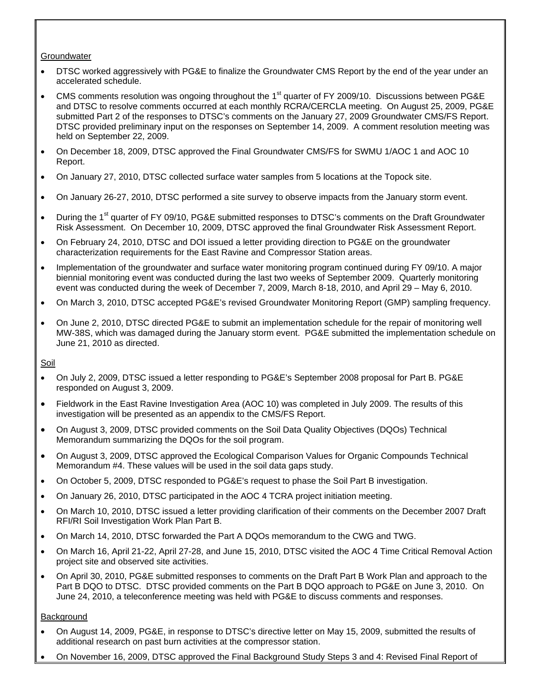#### **Groundwater**

- DTSC worked aggressively with PG&E to finalize the Groundwater CMS Report by the end of the year under an accelerated schedule.
- CMS comments resolution was ongoing throughout the 1<sup>st</sup> quarter of FY 2009/10. Discussions between PG&E and DTSC to resolve comments occurred at each monthly RCRA/CERCLA meeting. On August 25, 2009, PG&E submitted Part 2 of the responses to DTSC's comments on the January 27, 2009 Groundwater CMS/FS Report. DTSC provided preliminary input on the responses on September 14, 2009. A comment resolution meeting was held on September 22, 2009.
- On December 18, 2009, DTSC approved the Final Groundwater CMS/FS for SWMU 1/AOC 1 and AOC 10 Report.
- On January 27, 2010, DTSC collected surface water samples from 5 locations at the Topock site.
- On January 26-27, 2010, DTSC performed a site survey to observe impacts from the January storm event.
- During the 1<sup>st</sup> quarter of FY 09/10, PG&E submitted responses to DTSC's comments on the Draft Groundwater Risk Assessment. On December 10, 2009, DTSC approved the final Groundwater Risk Assessment Report.
- On February 24, 2010, DTSC and DOI issued a letter providing direction to PG&E on the groundwater characterization requirements for the East Ravine and Compressor Station areas.
- Implementation of the groundwater and surface water monitoring program continued during FY 09/10. A major biennial monitoring event was conducted during the last two weeks of September 2009. Quarterly monitoring event was conducted during the week of December 7, 2009, March 8-18, 2010, and April 29 – May 6, 2010.
- On March 3, 2010, DTSC accepted PG&E's revised Groundwater Monitoring Report (GMP) sampling frequency.
- On June 2, 2010, DTSC directed PG&E to submit an implementation schedule for the repair of monitoring well MW-38S, which was damaged during the January storm event. PG&E submitted the implementation schedule on June 21, 2010 as directed.

Soil

- On July 2, 2009, DTSC issued a letter responding to PG&E's September 2008 proposal for Part B. PG&E responded on August 3, 2009.
- Fieldwork in the East Ravine Investigation Area (AOC 10) was completed in July 2009. The results of this investigation will be presented as an appendix to the CMS/FS Report.
- On August 3, 2009, DTSC provided comments on the Soil Data Quality Objectives (DQOs) Technical Memorandum summarizing the DQOs for the soil program.
- On August 3, 2009, DTSC approved the Ecological Comparison Values for Organic Compounds Technical Memorandum #4. These values will be used in the soil data gaps study.
- On October 5, 2009, DTSC responded to PG&E's request to phase the Soil Part B investigation.
- On January 26, 2010, DTSC participated in the AOC 4 TCRA project initiation meeting.
- On March 10, 2010, DTSC issued a letter providing clarification of their comments on the December 2007 Draft RFI/RI Soil Investigation Work Plan Part B.
- On March 14, 2010, DTSC forwarded the Part A DQOs memorandum to the CWG and TWG.
- On March 16, April 21-22, April 27-28, and June 15, 2010, DTSC visited the AOC 4 Time Critical Removal Action project site and observed site activities.
- On April 30, 2010, PG&E submitted responses to comments on the Draft Part B Work Plan and approach to the Part B DQO to DTSC. DTSC provided comments on the Part B DQO approach to PG&E on June 3, 2010. On June 24, 2010, a teleconference meeting was held with PG&E to discuss comments and responses.

#### **Background**

- On August 14, 2009, PG&E, in response to DTSC's directive letter on May 15, 2009, submitted the results of additional research on past burn activities at the compressor station.
- On November 16, 2009, DTSC approved the Final Background Study Steps 3 and 4: Revised Final Report of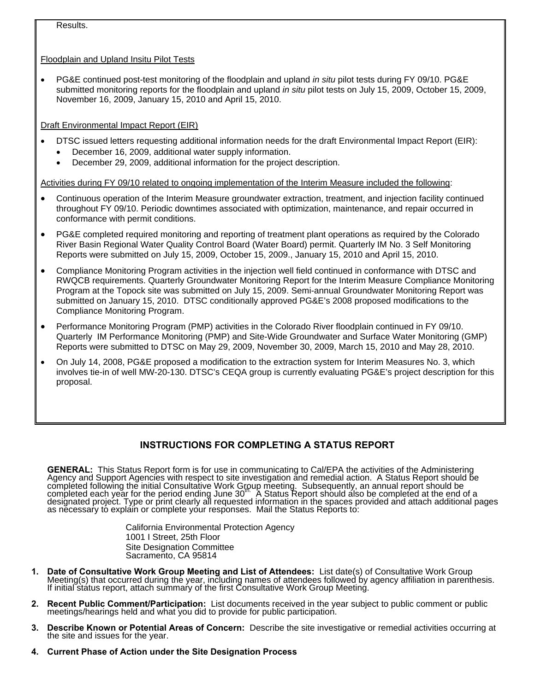Results.

Floodplain and Upland Insitu Pilot Tests

• PG&E continued post-test monitoring of the floodplain and upland *in situ* pilot tests during FY 09/10. PG&E submitted monitoring reports for the floodplain and upland *in situ* pilot tests on July 15, 2009, October 15, 2009, November 16, 2009, January 15, 2010 and April 15, 2010.

Draft Environmental Impact Report (EIR)

- DTSC issued letters requesting additional information needs for the draft Environmental Impact Report (EIR):
	- December 16, 2009, additional water supply information.
	- December 29, 2009, additional information for the project description.

Activities during FY 09/10 related to ongoing implementation of the Interim Measure included the following:

- Continuous operation of the Interim Measure groundwater extraction, treatment, and injection facility continued throughout FY 09/10. Periodic downtimes associated with optimization, maintenance, and repair occurred in conformance with permit conditions.
- PG&E completed required monitoring and reporting of treatment plant operations as required by the Colorado River Basin Regional Water Quality Control Board (Water Board) permit. Quarterly IM No. 3 Self Monitoring Reports were submitted on July 15, 2009, October 15, 2009., January 15, 2010 and April 15, 2010.
- Compliance Monitoring Program activities in the injection well field continued in conformance with DTSC and RWQCB requirements. Quarterly Groundwater Monitoring Report for the Interim Measure Compliance Monitoring Program at the Topock site was submitted on July 15, 2009. Semi-annual Groundwater Monitoring Report was submitted on January 15, 2010. DTSC conditionally approved PG&E's 2008 proposed modifications to the Compliance Monitoring Program.
- Performance Monitoring Program (PMP) activities in the Colorado River floodplain continued in FY 09/10. Quarterly IM Performance Monitoring (PMP) and Site-Wide Groundwater and Surface Water Monitoring (GMP) Reports were submitted to DTSC on May 29, 2009, November 30, 2009, March 15, 2010 and May 28, 2010.
- On July 14, 2008, PG&E proposed a modification to the extraction system for Interim Measures No. 3, which involves tie-in of well MW-20-130. DTSC's CEQA group is currently evaluating PG&E's project description for this proposal.

## **INSTRUCTIONS FOR COMPLETING A STATUS REPORT**

**GENERAL:** This Status Report form is for use in communicating to Cal/EPA the activities of the Administering Agency and Support Agencies with respect to site investigation and remedial action. A Status Report should be co

California Environmental Protection Agency 1001 I Street, 25th Floor Site Designation Committee Sacramento, CA 95814

- 1. Date of Consultative Work Group Meeting and List of Attendees: List date(s) of Consultative Work Group<br>Meeting(s) that occurred during the year, including names of attendees followed by agency affiliation in parenthesis
- **2. Recent Public Comment/Participation:** List documents received in the year subject to public comment or public meetings/hearings held and what you did to provide for public participation.
- **3. Describe Known or Potential Areas of Concern:** Describe the site investigative or remedial activities occurring at the site and issues for the year.
- **4. Current Phase of Action under the Site Designation Process**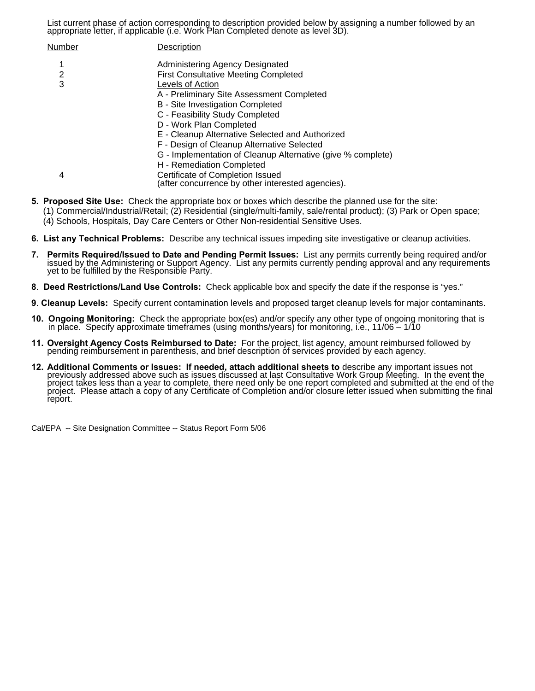List current phase of action corresponding to description provided below by assigning a number followed by an appropriate letter, if applicable (i.e. Work Plan Completed denote as level 3D).

| <b>Number</b> | Description                                                                           |
|---------------|---------------------------------------------------------------------------------------|
| 1             | Administering Agency Designated                                                       |
| 2             | <b>First Consultative Meeting Completed</b>                                           |
| 3             | Levels of Action                                                                      |
|               | A - Preliminary Site Assessment Completed                                             |
|               | B - Site Investigation Completed                                                      |
|               | C - Feasibility Study Completed                                                       |
|               | D - Work Plan Completed                                                               |
|               | E - Cleanup Alternative Selected and Authorized                                       |
|               | F - Design of Cleanup Alternative Selected                                            |
|               | G - Implementation of Cleanup Alternative (give % complete)                           |
|               | H - Remediation Completed                                                             |
| 4             | Certificate of Completion Issued<br>(after concurrence by other interested agencies). |

- **5. Proposed Site Use:** Check the appropriate box or boxes which describe the planned use for the site:
	- (1) Commercial/Industrial/Retail; (2) Residential (single/multi-family, sale/rental product); (3) Park or Open space;
	- (4) Schools, Hospitals, Day Care Centers or Other Non-residential Sensitive Uses.
- **6. List any Technical Problems:** Describe any technical issues impeding site investigative or cleanup activities.
- 7. Permits Required/Issued to Date and Pending Permit Issues: List any permits currently being required and/or issued by the Administering or Support Agency. List any permits currently pending approval and any requirements
- **8**. **Deed Restrictions/Land Use Controls:** Check applicable box and specify the date if the response is "yes."
- **9**. **Cleanup Levels:** Specify current contamination levels and proposed target cleanup levels for major contaminants.
- **10. Ongoing Monitoring:** Check the appropriate box(es) and/or specify any other type of ongoing monitoring that is in place. Specify approximate timeframes (using months/years) for monitoring, i.e., 11/06 1/10
- **11. Oversight Agency Costs Reimbursed to Date:** For the project, list agency, amount reimbursed followed by pending reimbursement in parenthesis, and brief description of services provided by each agency.
- **12. Additional Comments or Issues: If needed, attach additional sheets to** describe any important issues not previously addressed above such as issues discussed at last Consultative Work Group Meeting. In the event the pr report.

Cal/EPA -- Site Designation Committee -- Status Report Form 5/06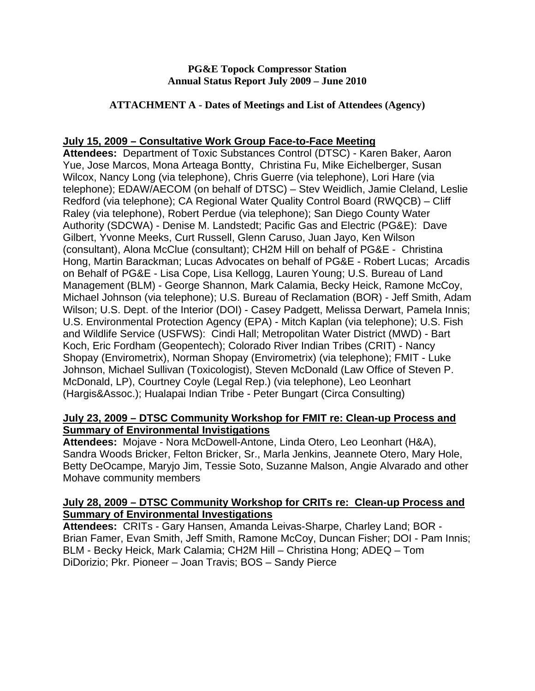### **PG&E Topock Compressor Station Annual Status Report July 2009 – June 2010**

### **ATTACHMENT A - Dates of Meetings and List of Attendees (Agency)**

## **July 15, 2009 – Consultative Work Group Face-to-Face Meeting**

**Attendees:** Department of Toxic Substances Control (DTSC) - Karen Baker, Aaron Yue, Jose Marcos, Mona Arteaga Bontty, Christina Fu, Mike Eichelberger, Susan Wilcox, Nancy Long (via telephone), Chris Guerre (via telephone), Lori Hare (via telephone); EDAW/AECOM (on behalf of DTSC) – Stev Weidlich, Jamie Cleland, Leslie Redford (via telephone); CA Regional Water Quality Control Board (RWQCB) – Cliff Raley (via telephone), Robert Perdue (via telephone); San Diego County Water Authority (SDCWA) - Denise M. Landstedt; Pacific Gas and Electric (PG&E): Dave Gilbert, Yvonne Meeks, Curt Russell, Glenn Caruso, Juan Jayo, Ken Wilson (consultant), Alona McClue (consultant); CH2M Hill on behalf of PG&E - Christina Hong, Martin Barackman; Lucas Advocates on behalf of PG&E - Robert Lucas; Arcadis on Behalf of PG&E - Lisa Cope, Lisa Kellogg, Lauren Young; U.S. Bureau of Land Management (BLM) - George Shannon, Mark Calamia, Becky Heick, Ramone McCoy, Michael Johnson (via telephone); U.S. Bureau of Reclamation (BOR) - Jeff Smith, Adam Wilson; U.S. Dept. of the Interior (DOI) - Casey Padgett, Melissa Derwart, Pamela Innis; U.S. Environmental Protection Agency (EPA) - Mitch Kaplan (via telephone); U.S. Fish and Wildlife Service (USFWS): Cindi Hall; Metropolitan Water District (MWD) - Bart Koch, Eric Fordham (Geopentech); Colorado River Indian Tribes (CRIT) - Nancy Shopay (Envirometrix), Norman Shopay (Envirometrix) (via telephone); FMIT - Luke Johnson, Michael Sullivan (Toxicologist), Steven McDonald (Law Office of Steven P. McDonald, LP), Courtney Coyle (Legal Rep.) (via telephone), Leo Leonhart (Hargis&Assoc.); Hualapai Indian Tribe - Peter Bungart (Circa Consulting)

## **July 23, 2009 – DTSC Community Workshop for FMIT re: Clean-up Process and Summary of Environmental Invistigations**

**Attendees:** Mojave - Nora McDowell-Antone, Linda Otero, Leo Leonhart (H&A), Sandra Woods Bricker, Felton Bricker, Sr., Marla Jenkins, Jeannete Otero, Mary Hole, Betty DeOcampe, Maryjo Jim, Tessie Soto, Suzanne Malson, Angie Alvarado and other Mohave community members

## **July 28, 2009 – DTSC Community Workshop for CRITs re: Clean-up Process and Summary of Environmental Investigations**

**Attendees:** CRITs - Gary Hansen, Amanda Leivas-Sharpe, Charley Land; BOR - Brian Famer, Evan Smith, Jeff Smith, Ramone McCoy, Duncan Fisher; DOI - Pam Innis; BLM - Becky Heick, Mark Calamia; CH2M Hill – Christina Hong; ADEQ – Tom DiDorizio; Pkr. Pioneer – Joan Travis; BOS – Sandy Pierce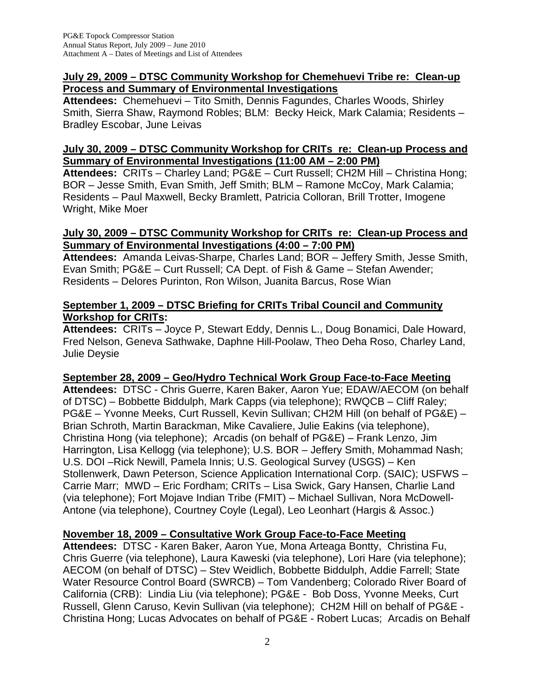## **July 29, 2009 – DTSC Community Workshop for Chemehuevi Tribe re: Clean-up Process and Summary of Environmental Investigations**

**Attendees:** Chemehuevi – Tito Smith, Dennis Fagundes, Charles Woods, Shirley Smith, Sierra Shaw, Raymond Robles; BLM: Becky Heick, Mark Calamia; Residents – Bradley Escobar, June Leivas

## **July 30, 2009 – DTSC Community Workshop for CRITs re: Clean-up Process and Summary of Environmental Investigations (11:00 AM – 2:00 PM)**

**Attendees:** CRITs – Charley Land; PG&E – Curt Russell; CH2M Hill – Christina Hong; BOR – Jesse Smith, Evan Smith, Jeff Smith; BLM – Ramone McCoy, Mark Calamia; Residents – Paul Maxwell, Becky Bramlett, Patricia Colloran, Brill Trotter, Imogene Wright, Mike Moer

## **July 30, 2009 – DTSC Community Workshop for CRITs re: Clean-up Process and Summary of Environmental Investigations (4:00 – 7:00 PM)**

**Attendees:** Amanda Leivas-Sharpe, Charles Land; BOR – Jeffery Smith, Jesse Smith, Evan Smith; PG&E – Curt Russell; CA Dept. of Fish & Game – Stefan Awender; Residents – Delores Purinton, Ron Wilson, Juanita Barcus, Rose Wian

# **September 1, 2009 – DTSC Briefing for CRITs Tribal Council and Community Workshop for CRITs:**

**Attendees:** CRITs – Joyce P, Stewart Eddy, Dennis L., Doug Bonamici, Dale Howard, Fred Nelson, Geneva Sathwake, Daphne Hill-Poolaw, Theo Deha Roso, Charley Land, Julie Deysie

# **September 28, 2009 – Geo/Hydro Technical Work Group Face-to-Face Meeting**

**Attendees:** DTSC - Chris Guerre, Karen Baker, Aaron Yue; EDAW/AECOM (on behalf of DTSC) – Bobbette Biddulph, Mark Capps (via telephone); RWQCB – Cliff Raley; PG&E – Yvonne Meeks, Curt Russell, Kevin Sullivan; CH2M Hill (on behalf of PG&E) – Brian Schroth, Martin Barackman, Mike Cavaliere, Julie Eakins (via telephone), Christina Hong (via telephone); Arcadis (on behalf of PG&E) – Frank Lenzo, Jim Harrington, Lisa Kellogg (via telephone); U.S. BOR – Jeffery Smith, Mohammad Nash; U.S. DOI –Rick Newill, Pamela Innis; U.S. Geological Survey (USGS) – Ken Stollenwerk, Dawn Peterson, Science Application International Corp. (SAIC); USFWS – Carrie Marr; MWD – Eric Fordham; CRITs – Lisa Swick, Gary Hansen, Charlie Land (via telephone); Fort Mojave Indian Tribe (FMIT) – Michael Sullivan, Nora McDowell-Antone (via telephone), Courtney Coyle (Legal), Leo Leonhart (Hargis & Assoc.)

# **November 18, 2009 – Consultative Work Group Face-to-Face Meeting**

**Attendees:** DTSC - Karen Baker, Aaron Yue, Mona Arteaga Bontty, Christina Fu, Chris Guerre (via telephone), Laura Kaweski (via telephone), Lori Hare (via telephone); AECOM (on behalf of DTSC) – Stev Weidlich, Bobbette Biddulph, Addie Farrell; State Water Resource Control Board (SWRCB) – Tom Vandenberg; Colorado River Board of California (CRB): Lindia Liu (via telephone); PG&E - Bob Doss, Yvonne Meeks, Curt Russell, Glenn Caruso, Kevin Sullivan (via telephone); CH2M Hill on behalf of PG&E - Christina Hong; Lucas Advocates on behalf of PG&E - Robert Lucas; Arcadis on Behalf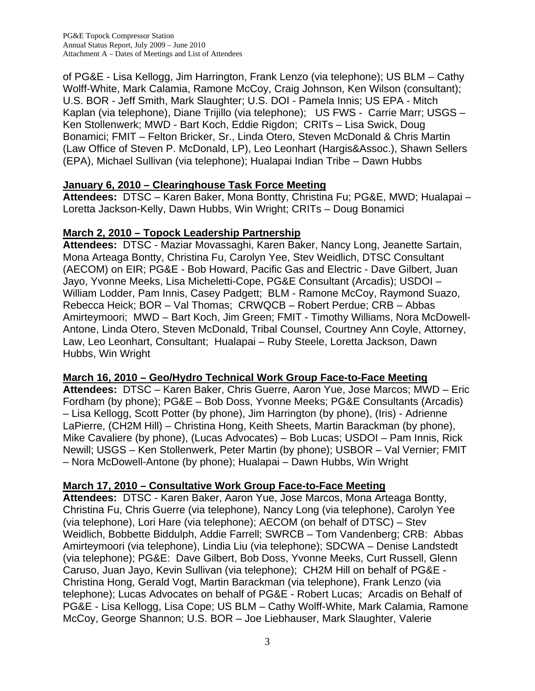of PG&E - Lisa Kellogg, Jim Harrington, Frank Lenzo (via telephone); US BLM – Cathy Wolff-White, Mark Calamia, Ramone McCoy, Craig Johnson, Ken Wilson (consultant); U.S. BOR - Jeff Smith, Mark Slaughter; U.S. DOI - Pamela Innis; US EPA - Mitch Kaplan (via telephone), Diane Trijillo (via telephone); US FWS - Carrie Marr; USGS – Ken Stollenwerk; MWD - Bart Koch, Eddie Rigdon; CRITs – Lisa Swick, Doug Bonamici; FMIT – Felton Bricker, Sr., Linda Otero, Steven McDonald & Chris Martin (Law Office of Steven P. McDonald, LP), Leo Leonhart (Hargis&Assoc.), Shawn Sellers (EPA), Michael Sullivan (via telephone); Hualapai Indian Tribe – Dawn Hubbs

# **January 6, 2010 – Clearinghouse Task Force Meeting**

**Attendees:** DTSC – Karen Baker, Mona Bontty, Christina Fu; PG&E, MWD; Hualapai – Loretta Jackson-Kelly, Dawn Hubbs, Win Wright; CRITs – Doug Bonamici

# **March 2, 2010 – Topock Leadership Partnership**

**Attendees:** DTSC - Maziar Movassaghi, Karen Baker, Nancy Long, Jeanette Sartain, Mona Arteaga Bontty, Christina Fu, Carolyn Yee, Stev Weidlich, DTSC Consultant (AECOM) on EIR; PG&E - Bob Howard, Pacific Gas and Electric - Dave Gilbert, Juan Jayo, Yvonne Meeks, Lisa Micheletti-Cope, PG&E Consultant (Arcadis); USDOI – William Lodder, Pam Innis, Casey Padgett; BLM - Ramone McCoy, Raymond Suazo, Rebecca Heick; BOR – Val Thomas; CRWQCB – Robert Perdue; CRB – Abbas Amirteymoori; MWD – Bart Koch, Jim Green; FMIT - Timothy Williams, Nora McDowell-Antone, Linda Otero, Steven McDonald, Tribal Counsel, Courtney Ann Coyle, Attorney, Law, Leo Leonhart, Consultant; Hualapai – Ruby Steele, Loretta Jackson, Dawn Hubbs, Win Wright

# **March 16, 2010 – Geo/Hydro Technical Work Group Face-to-Face Meeting**

**Attendees:** DTSC – Karen Baker, Chris Guerre, Aaron Yue, Jose Marcos; MWD – Eric Fordham (by phone); PG&E – Bob Doss, Yvonne Meeks; PG&E Consultants (Arcadis) – Lisa Kellogg, Scott Potter (by phone), Jim Harrington (by phone), (Iris) - Adrienne LaPierre, (CH2M Hill) – Christina Hong, Keith Sheets, Martin Barackman (by phone), Mike Cavaliere (by phone), (Lucas Advocates) – Bob Lucas; USDOI – Pam Innis, Rick Newill; USGS – Ken Stollenwerk, Peter Martin (by phone); USBOR – Val Vernier; FMIT – Nora McDowell-Antone (by phone); Hualapai – Dawn Hubbs, Win Wright

# **March 17, 2010 – Consultative Work Group Face-to-Face Meeting**

**Attendees:** DTSC - Karen Baker, Aaron Yue, Jose Marcos, Mona Arteaga Bontty, Christina Fu, Chris Guerre (via telephone), Nancy Long (via telephone), Carolyn Yee (via telephone), Lori Hare (via telephone); AECOM (on behalf of DTSC) – Stev Weidlich, Bobbette Biddulph, Addie Farrell; SWRCB – Tom Vandenberg; CRB: Abbas Amirteymoori (via telephone), Lindia Liu (via telephone); SDCWA – Denise Landstedt (via telephone); PG&E: Dave Gilbert, Bob Doss, Yvonne Meeks, Curt Russell, Glenn Caruso, Juan Jayo, Kevin Sullivan (via telephone); CH2M Hill on behalf of PG&E - Christina Hong, Gerald Vogt, Martin Barackman (via telephone), Frank Lenzo (via telephone); Lucas Advocates on behalf of PG&E - Robert Lucas; Arcadis on Behalf of PG&E - Lisa Kellogg, Lisa Cope; US BLM – Cathy Wolff-White, Mark Calamia, Ramone McCoy, George Shannon; U.S. BOR – Joe Liebhauser, Mark Slaughter, Valerie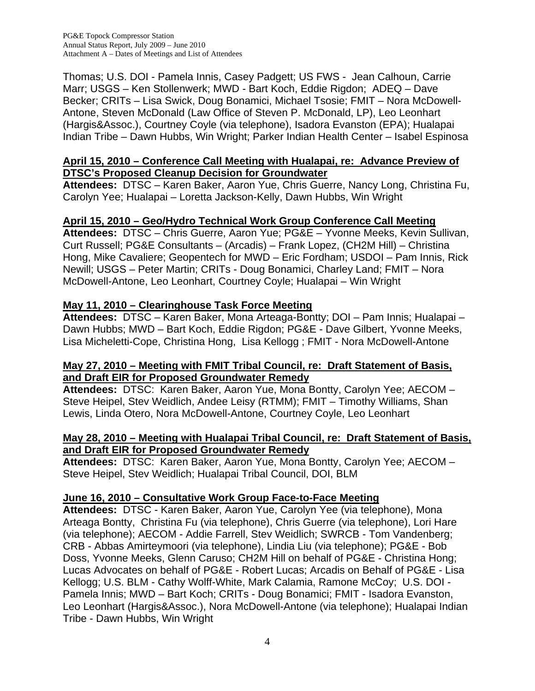PG&E Topock Compressor Station Annual Status Report, July 2009 – June 2010 Attachment A – Dates of Meetings and List of Attendees

Thomas; U.S. DOI - Pamela Innis, Casey Padgett; US FWS - Jean Calhoun, Carrie Marr; USGS – Ken Stollenwerk; MWD - Bart Koch, Eddie Rigdon; ADEQ – Dave Becker; CRITs – Lisa Swick, Doug Bonamici, Michael Tsosie; FMIT – Nora McDowell-Antone, Steven McDonald (Law Office of Steven P. McDonald, LP), Leo Leonhart (Hargis&Assoc.), Courtney Coyle (via telephone), Isadora Evanston (EPA); Hualapai Indian Tribe – Dawn Hubbs, Win Wright; Parker Indian Health Center – Isabel Espinosa

## **April 15, 2010 – Conference Call Meeting with Hualapai, re: Advance Preview of DTSC's Proposed Cleanup Decision for Groundwater**

**Attendees:** DTSC – Karen Baker, Aaron Yue, Chris Guerre, Nancy Long, Christina Fu, Carolyn Yee; Hualapai – Loretta Jackson-Kelly, Dawn Hubbs, Win Wright

## **April 15, 2010 – Geo/Hydro Technical Work Group Conference Call Meeting**

**Attendees:** DTSC – Chris Guerre, Aaron Yue; PG&E – Yvonne Meeks, Kevin Sullivan, Curt Russell; PG&E Consultants – (Arcadis) – Frank Lopez, (CH2M Hill) – Christina Hong, Mike Cavaliere; Geopentech for MWD – Eric Fordham; USDOI – Pam Innis, Rick Newill; USGS – Peter Martin; CRITs - Doug Bonamici, Charley Land; FMIT – Nora McDowell-Antone, Leo Leonhart, Courtney Coyle; Hualapai – Win Wright

# **May 11, 2010 – Clearinghouse Task Force Meeting**

**Attendees:** DTSC – Karen Baker, Mona Arteaga-Bontty; DOI – Pam Innis; Hualapai – Dawn Hubbs; MWD – Bart Koch, Eddie Rigdon; PG&E - Dave Gilbert, Yvonne Meeks, Lisa Micheletti-Cope, Christina Hong, Lisa Kellogg ; FMIT - Nora McDowell-Antone

### **May 27, 2010 – Meeting with FMIT Tribal Council, re: Draft Statement of Basis, and Draft EIR for Proposed Groundwater Remedy**

**Attendees:** DTSC: Karen Baker, Aaron Yue, Mona Bontty, Carolyn Yee; AECOM – Steve Heipel, Stev Weidlich, Andee Leisy (RTMM); FMIT – Timothy Williams, Shan Lewis, Linda Otero, Nora McDowell-Antone, Courtney Coyle, Leo Leonhart

### **May 28, 2010 – Meeting with Hualapai Tribal Council, re: Draft Statement of Basis, and Draft EIR for Proposed Groundwater Remedy**

**Attendees:** DTSC: Karen Baker, Aaron Yue, Mona Bontty, Carolyn Yee; AECOM – Steve Heipel, Stev Weidlich; Hualapai Tribal Council, DOI, BLM

## **June 16, 2010 – Consultative Work Group Face-to-Face Meeting**

**Attendees:** DTSC - Karen Baker, Aaron Yue, Carolyn Yee (via telephone), Mona Arteaga Bontty, Christina Fu (via telephone), Chris Guerre (via telephone), Lori Hare (via telephone); AECOM - Addie Farrell, Stev Weidlich; SWRCB - Tom Vandenberg; CRB - Abbas Amirteymoori (via telephone), Lindia Liu (via telephone); PG&E - Bob Doss, Yvonne Meeks, Glenn Caruso; CH2M Hill on behalf of PG&E - Christina Hong; Lucas Advocates on behalf of PG&E - Robert Lucas; Arcadis on Behalf of PG&E - Lisa Kellogg; U.S. BLM - Cathy Wolff-White, Mark Calamia, Ramone McCoy; U.S. DOI - Pamela Innis; MWD – Bart Koch; CRITs - Doug Bonamici; FMIT - Isadora Evanston, Leo Leonhart (Hargis&Assoc.), Nora McDowell-Antone (via telephone); Hualapai Indian Tribe - Dawn Hubbs, Win Wright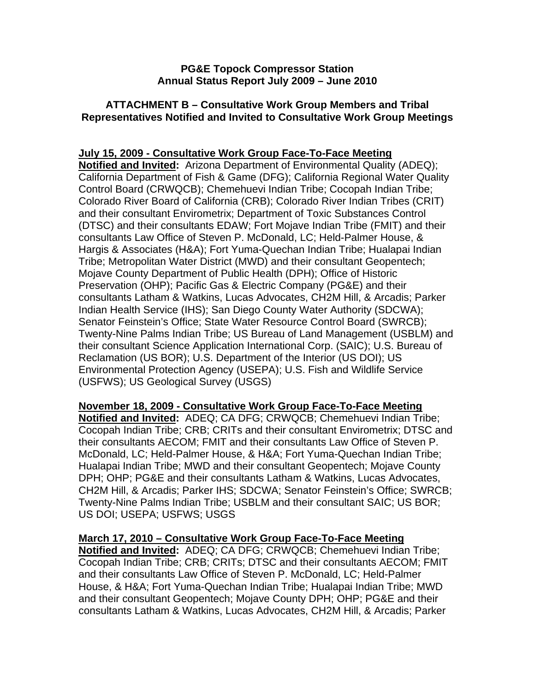### **PG&E Topock Compressor Station Annual Status Report July 2009 – June 2010**

## **ATTACHMENT B – Consultative Work Group Members and Tribal Representatives Notified and Invited to Consultative Work Group Meetings**

## **July 15, 2009 - Consultative Work Group Face-To-Face Meeting**

**Notified and Invited:** Arizona Department of Environmental Quality (ADEQ); California Department of Fish & Game (DFG); California Regional Water Quality Control Board (CRWQCB); Chemehuevi Indian Tribe; Cocopah Indian Tribe; Colorado River Board of California (CRB); Colorado River Indian Tribes (CRIT) and their consultant Envirometrix; Department of Toxic Substances Control (DTSC) and their consultants EDAW; Fort Mojave Indian Tribe (FMIT) and their consultants Law Office of Steven P. McDonald, LC; Held-Palmer House, & Hargis & Associates (H&A); Fort Yuma-Quechan Indian Tribe; Hualapai Indian Tribe; Metropolitan Water District (MWD) and their consultant Geopentech; Mojave County Department of Public Health (DPH); Office of Historic Preservation (OHP); Pacific Gas & Electric Company (PG&E) and their consultants Latham & Watkins, Lucas Advocates, CH2M Hill, & Arcadis; Parker Indian Health Service (IHS); San Diego County Water Authority (SDCWA); Senator Feinstein's Office; State Water Resource Control Board (SWRCB); Twenty-Nine Palms Indian Tribe; US Bureau of Land Management (USBLM) and their consultant Science Application International Corp. (SAIC); U.S. Bureau of Reclamation (US BOR); U.S. Department of the Interior (US DOI); US Environmental Protection Agency (USEPA); U.S. Fish and Wildlife Service (USFWS); US Geological Survey (USGS)

## **November 18, 2009 - Consultative Work Group Face-To-Face Meeting**

**Notified and Invited:** ADEQ; CA DFG; CRWQCB; Chemehuevi Indian Tribe; Cocopah Indian Tribe; CRB; CRITs and their consultant Envirometrix; DTSC and their consultants AECOM; FMIT and their consultants Law Office of Steven P. McDonald, LC; Held-Palmer House, & H&A; Fort Yuma-Quechan Indian Tribe; Hualapai Indian Tribe; MWD and their consultant Geopentech; Mojave County DPH; OHP; PG&E and their consultants Latham & Watkins, Lucas Advocates, CH2M Hill, & Arcadis; Parker IHS; SDCWA; Senator Feinstein's Office; SWRCB; Twenty-Nine Palms Indian Tribe; USBLM and their consultant SAIC; US BOR; US DOI; USEPA; USFWS; USGS

**March 17, 2010 – Consultative Work Group Face-To-Face Meeting Notified and Invited:** ADEQ; CA DFG; CRWQCB; Chemehuevi Indian Tribe; Cocopah Indian Tribe; CRB; CRITs; DTSC and their consultants AECOM; FMIT and their consultants Law Office of Steven P. McDonald, LC; Held-Palmer House, & H&A; Fort Yuma-Quechan Indian Tribe; Hualapai Indian Tribe; MWD and their consultant Geopentech; Mojave County DPH; OHP; PG&E and their consultants Latham & Watkins, Lucas Advocates, CH2M Hill, & Arcadis; Parker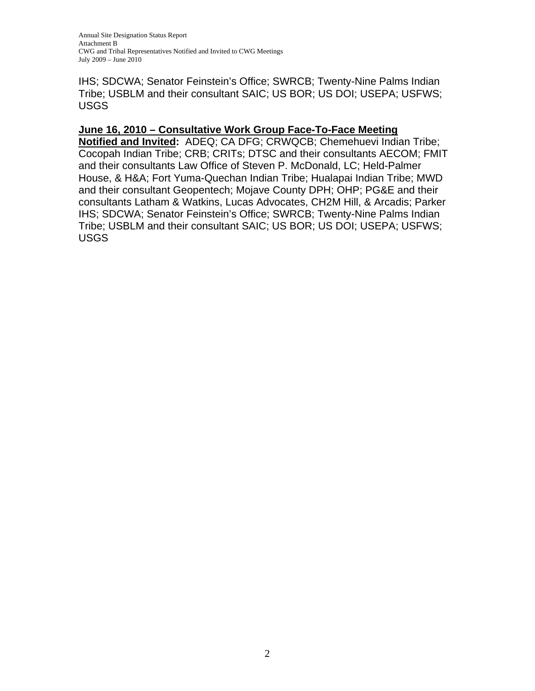IHS; SDCWA; Senator Feinstein's Office; SWRCB; Twenty-Nine Palms Indian Tribe; USBLM and their consultant SAIC; US BOR; US DOI; USEPA; USFWS; USGS

## **June 16, 2010 – Consultative Work Group Face-To-Face Meeting**

**Notified and Invited:** ADEQ; CA DFG; CRWQCB; Chemehuevi Indian Tribe; Cocopah Indian Tribe; CRB; CRITs; DTSC and their consultants AECOM; FMIT and their consultants Law Office of Steven P. McDonald, LC; Held-Palmer House, & H&A; Fort Yuma-Quechan Indian Tribe; Hualapai Indian Tribe; MWD and their consultant Geopentech; Mojave County DPH; OHP; PG&E and their consultants Latham & Watkins, Lucas Advocates, CH2M Hill, & Arcadis; Parker IHS; SDCWA; Senator Feinstein's Office; SWRCB; Twenty-Nine Palms Indian Tribe; USBLM and their consultant SAIC; US BOR; US DOI; USEPA; USFWS; USGS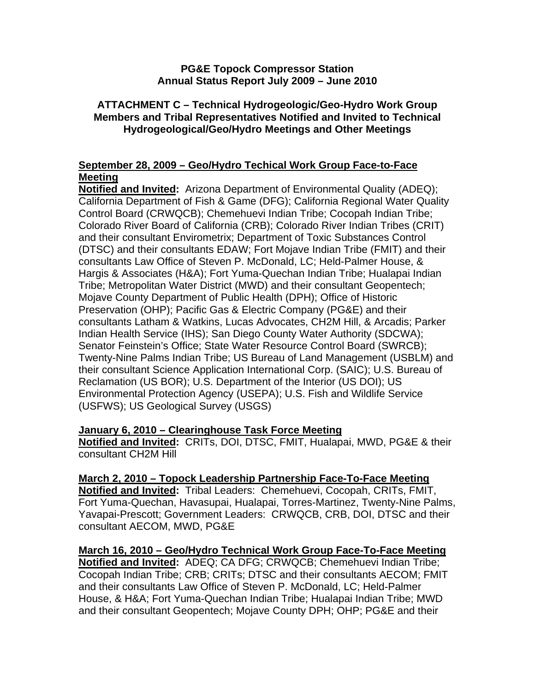## **PG&E Topock Compressor Station Annual Status Report July 2009 – June 2010**

## **ATTACHMENT C – Technical Hydrogeologic/Geo-Hydro Work Group Members and Tribal Representatives Notified and Invited to Technical Hydrogeological/Geo/Hydro Meetings and Other Meetings**

# **September 28, 2009 – Geo/Hydro Techical Work Group Face-to-Face Meeting**

**Notified and Invited:** Arizona Department of Environmental Quality (ADEQ); California Department of Fish & Game (DFG); California Regional Water Quality Control Board (CRWQCB); Chemehuevi Indian Tribe; Cocopah Indian Tribe; Colorado River Board of California (CRB); Colorado River Indian Tribes (CRIT) and their consultant Envirometrix; Department of Toxic Substances Control (DTSC) and their consultants EDAW; Fort Mojave Indian Tribe (FMIT) and their consultants Law Office of Steven P. McDonald, LC; Held-Palmer House, & Hargis & Associates (H&A); Fort Yuma-Quechan Indian Tribe; Hualapai Indian Tribe; Metropolitan Water District (MWD) and their consultant Geopentech; Mojave County Department of Public Health (DPH); Office of Historic Preservation (OHP); Pacific Gas & Electric Company (PG&E) and their consultants Latham & Watkins, Lucas Advocates, CH2M Hill, & Arcadis; Parker Indian Health Service (IHS); San Diego County Water Authority (SDCWA); Senator Feinstein's Office; State Water Resource Control Board (SWRCB); Twenty-Nine Palms Indian Tribe; US Bureau of Land Management (USBLM) and their consultant Science Application International Corp. (SAIC); U.S. Bureau of Reclamation (US BOR); U.S. Department of the Interior (US DOI); US Environmental Protection Agency (USEPA); U.S. Fish and Wildlife Service (USFWS); US Geological Survey (USGS)

# **January 6, 2010 – Clearinghouse Task Force Meeting**

**Notified and Invited:** CRITs, DOI, DTSC, FMIT, Hualapai, MWD, PG&E & their consultant CH2M Hill

# **March 2, 2010 – Topock Leadership Partnership Face-To-Face Meeting**

**Notified and Invited:** Tribal Leaders: Chemehuevi, Cocopah, CRITs, FMIT, Fort Yuma-Quechan, Havasupai, Hualapai, Torres-Martinez, Twenty-Nine Palms, Yavapai-Prescott; Government Leaders: CRWQCB, CRB, DOI, DTSC and their consultant AECOM, MWD, PG&E

**March 16, 2010 – Geo/Hydro Technical Work Group Face-To-Face Meeting Notified and Invited:** ADEQ; CA DFG; CRWQCB; Chemehuevi Indian Tribe; Cocopah Indian Tribe; CRB; CRITs; DTSC and their consultants AECOM; FMIT and their consultants Law Office of Steven P. McDonald, LC; Held-Palmer House, & H&A; Fort Yuma-Quechan Indian Tribe; Hualapai Indian Tribe; MWD and their consultant Geopentech; Mojave County DPH; OHP; PG&E and their